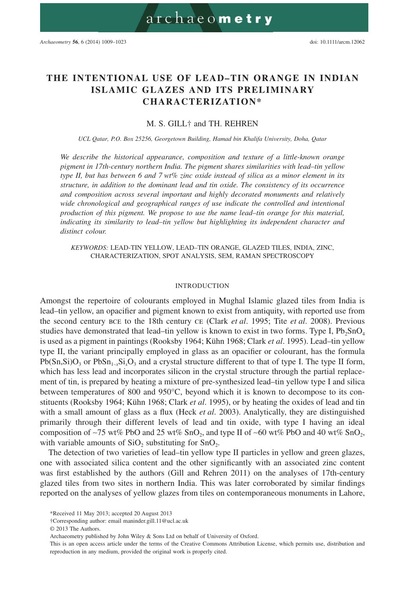# **THE INTENTIONAL USE OF LEAD–TIN ORANGE IN INDIAN ISLAMIC GLAZES AND ITS PRELIMINARY CHARACTERIZATION\***

archaeometry

## M. S. GILL† and TH. REHREN

*UCL Qatar, P.O. Box 25256, Georgetown Building, Hamad bin Khalifa University, Doha, Qatar*

*We describe the historical appearance, composition and texture of a little-known orange pigment in 17th-century northern India. The pigment shares similarities with lead–tin yellow type II, but has between 6 and 7 wt% zinc oxide instead of silica as a minor element in its structure, in addition to the dominant lead and tin oxide. The consistency of its occurrence and composition across several important and highly decorated monuments and relatively wide chronological and geographical ranges of use indicate the controlled and intentional production of this pigment. We propose to use the name lead–tin orange for this material, indicating its similarity to lead–tin yellow but highlighting its independent character and distinct colour.*

*KEYWORDS:* LEAD-TIN YELLOW, LEAD–TIN ORANGE, GLAZED TILES, INDIA, ZINC, CHARACTERIZATION, SPOT ANALYSIS, SEM, RAMAN SPECTROSCOPY

#### INTRODUCTION

Amongst the repertoire of colourants employed in Mughal Islamic glazed tiles from India is lead–tin yellow, an opacifier and pigment known to exist from antiquity, with reported use from the second century bce to the 18th century ce (Clark *et al*. 1995; Tite *et al*. 2008). Previous studies have demonstrated that lead–tin yellow is known to exist in two forms. Type I,  $Pb_2SnO_4$ is used as a pigment in paintings (Rooksby 1964; Kühn 1968; Clark *et al*. 1995). Lead–tin yellow type II, the variant principally employed in glass as an opacifier or colourant, has the formula  $Pb(Sn,Si)O<sub>3</sub>$  or  $PbSn<sub>1</sub>, Si<sub>2</sub>O<sub>3</sub>$  and a crystal structure different to that of type I. The type II form, which has less lead and incorporates silicon in the crystal structure through the partial replacement of tin, is prepared by heating a mixture of pre-synthesized lead–tin yellow type I and silica between temperatures of 800 and 950°C, beyond which it is known to decompose to its constituents (Rooksby 1964; Kühn 1968; Clark *et al*. 1995), or by heating the oxides of lead and tin with a small amount of glass as a flux (Heck *et al*. 2003). Analytically, they are distinguished primarily through their different levels of lead and tin oxide, with type I having an ideal composition of ~75 wt% PbO and 25 wt% SnO<sub>2</sub>, and type II of ~60 wt% PbO and 40 wt% SnO<sub>2</sub>, with variable amounts of  $SiO<sub>2</sub>$  substituting for  $SnO<sub>2</sub>$ .

The detection of two varieties of lead–tin yellow type II particles in yellow and green glazes, one with associated silica content and the other significantly with an associated zinc content was first established by the authors (Gill and Rehren 2011) on the analyses of 17th-century glazed tiles from two sites in northern India. This was later corroborated by similar findings reported on the analyses of yellow glazes from tiles on contemporaneous monuments in Lahore,

<sup>\*</sup>Received 11 May 2013; accepted 20 August 2013

<sup>†</sup>Corresponding author: email [maninder.gill.11@ucl.ac.uk](mailto:maninder.gill.11@ucl.ac.uk)

<sup>© 2013</sup> The Authors.

Archaeometry published by John Wiley & Sons Ltd on behalf of University of Oxford.

This is an open access article under the terms of the [Creative Commons Attribution](http://creativecommons.org/licenses/by/3.0/) License, which permits use, distribution and reproduction in any medium, provided the original work is properly cited.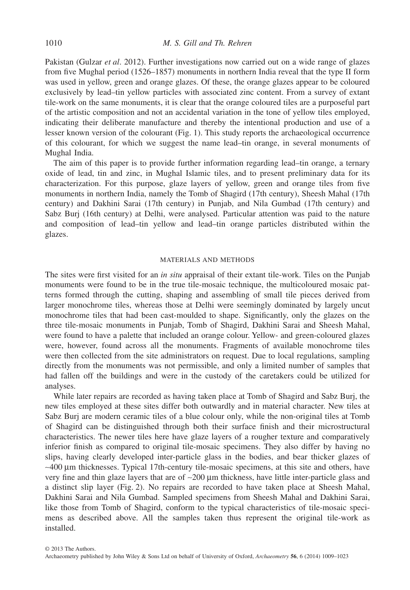Pakistan (Gulzar *et al*. 2012). Further investigations now carried out on a wide range of glazes from five Mughal period (1526–1857) monuments in northern India reveal that the type II form was used in yellow, green and orange glazes. Of these, the orange glazes appear to be coloured exclusively by lead–tin yellow particles with associated zinc content. From a survey of extant tile-work on the same monuments, it is clear that the orange coloured tiles are a purposeful part of the artistic composition and not an accidental variation in the tone of yellow tiles employed, indicating their deliberate manufacture and thereby the intentional production and use of a lesser known version of the colourant (Fig. 1). This study reports the archaeological occurrence of this colourant, for which we suggest the name lead–tin orange, in several monuments of Mughal India.

The aim of this paper is to provide further information regarding lead–tin orange, a ternary oxide of lead, tin and zinc, in Mughal Islamic tiles, and to present preliminary data for its characterization. For this purpose, glaze layers of yellow, green and orange tiles from five monuments in northern India, namely the Tomb of Shagird (17th century), Sheesh Mahal (17th century) and Dakhini Sarai (17th century) in Punjab, and Nila Gumbad (17th century) and Sabz Burj (16th century) at Delhi, were analysed. Particular attention was paid to the nature and composition of lead–tin yellow and lead–tin orange particles distributed within the glazes.

## MATERIALS AND METHODS

The sites were first visited for an *in situ* appraisal of their extant tile-work. Tiles on the Punjab monuments were found to be in the true tile-mosaic technique, the multicoloured mosaic patterns formed through the cutting, shaping and assembling of small tile pieces derived from larger monochrome tiles, whereas those at Delhi were seemingly dominated by largely uncut monochrome tiles that had been cast-moulded to shape. Significantly, only the glazes on the three tile-mosaic monuments in Punjab, Tomb of Shagird, Dakhini Sarai and Sheesh Mahal, were found to have a palette that included an orange colour. Yellow- and green-coloured glazes were, however, found across all the monuments. Fragments of available monochrome tiles were then collected from the site administrators on request. Due to local regulations, sampling directly from the monuments was not permissible, and only a limited number of samples that had fallen off the buildings and were in the custody of the caretakers could be utilized for analyses.

While later repairs are recorded as having taken place at Tomb of Shagird and Sabz Burj, the new tiles employed at these sites differ both outwardly and in material character. New tiles at Sabz Burj are modern ceramic tiles of a blue colour only, while the non-original tiles at Tomb of Shagird can be distinguished through both their surface finish and their microstructural characteristics. The newer tiles here have glaze layers of a rougher texture and comparatively inferior finish as compared to original tile-mosaic specimens. They also differ by having no slips, having clearly developed inter-particle glass in the bodies, and bear thicker glazes of ∼400 μm thicknesses. Typical 17th-century tile-mosaic specimens, at this site and others, have very fine and thin glaze layers that are of ∼200 μm thickness, have little inter-particle glass and a distinct slip layer (Fig. 2). No repairs are recorded to have taken place at Sheesh Mahal, Dakhini Sarai and Nila Gumbad. Sampled specimens from Sheesh Mahal and Dakhini Sarai, like those from Tomb of Shagird, conform to the typical characteristics of tile-mosaic specimens as described above. All the samples taken thus represent the original tile-work as installed.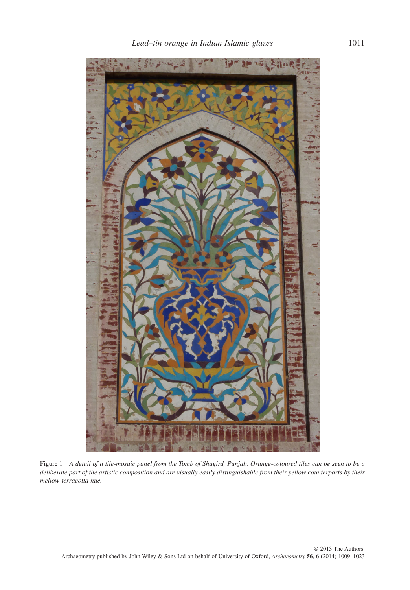

Figure 1 *A detail of a tile-mosaic panel from the Tomb of Shagird, Punjab. Orange-coloured tiles can be seen to be a deliberate part of the artistic composition and are visually easily distinguishable from their yellow counterparts by their mellow terracotta hue.*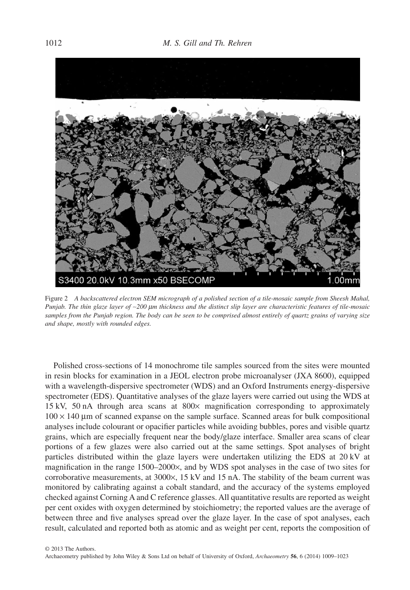

Figure 2 *A backscattered electron SEM micrograph of a polished section of a tile-mosaic sample from Sheesh Mahal, Punjab. The thin glaze layer of ~200 µm thickness and the distinct slip layer are characteristic features of tile-mosaic samples from the Punjab region. The body can be seen to be comprised almost entirely of quartz grains of varying size and shape, mostly with rounded edges.*

Polished cross-sections of 14 monochrome tile samples sourced from the sites were mounted in resin blocks for examination in a JEOL electron probe microanalyser (JXA 8600), equipped with a wavelength-dispersive spectrometer (WDS) and an Oxford Instruments energy-dispersive spectrometer (EDS). Quantitative analyses of the glaze layers were carried out using the WDS at 15 kV, 50 nA through area scans at 800× magnification corresponding to approximately  $100 \times 140$  µm of scanned expanse on the sample surface. Scanned areas for bulk compositional analyses include colourant or opacifier particles while avoiding bubbles, pores and visible quartz grains, which are especially frequent near the body/glaze interface. Smaller area scans of clear portions of a few glazes were also carried out at the same settings. Spot analyses of bright particles distributed within the glaze layers were undertaken utilizing the EDS at 20 kV at magnification in the range 1500–2000×, and by WDS spot analyses in the case of two sites for corroborative measurements, at  $3000 \times$ , 15 kV and 15 nA. The stability of the beam current was monitored by calibrating against a cobalt standard, and the accuracy of the systems employed checked against Corning A and C reference glasses. All quantitative results are reported as weight per cent oxides with oxygen determined by stoichiometry; the reported values are the average of between three and five analyses spread over the glaze layer. In the case of spot analyses, each result, calculated and reported both as atomic and as weight per cent, reports the composition of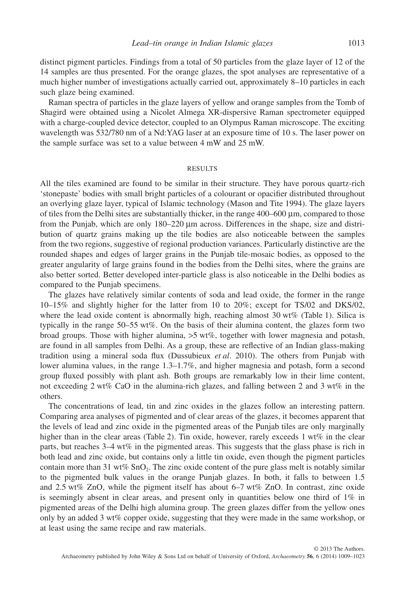distinct pigment particles. Findings from a total of 50 particles from the glaze layer of 12 of the 14 samples are thus presented. For the orange glazes, the spot analyses are representative of a much higher number of investigations actually carried out, approximately 8–10 particles in each such glaze being examined.

Raman spectra of particles in the glaze layers of yellow and orange samples from the Tomb of Shagird were obtained using a Nicolet Almega XR-dispersive Raman spectrometer equipped with a charge-coupled device detector, coupled to an Olympus Raman microscope. The exciting wavelength was 532/780 nm of a Nd:YAG laser at an exposure time of 10 s. The laser power on the sample surface was set to a value between 4 mW and 25 mW.

### **RESULTS**

All the tiles examined are found to be similar in their structure. They have porous quartz-rich 'stonepaste' bodies with small bright particles of a colourant or opacifier distributed throughout an overlying glaze layer, typical of Islamic technology (Mason and Tite 1994). The glaze layers of tiles from the Delhi sites are substantially thicker, in the range 400–600 μm, compared to those from the Punjab, which are only  $180-220 \mu m$  across. Differences in the shape, size and distribution of quartz grains making up the tile bodies are also noticeable between the samples from the two regions, suggestive of regional production variances. Particularly distinctive are the rounded shapes and edges of larger grains in the Punjab tile-mosaic bodies, as opposed to the greater angularity of large grains found in the bodies from the Delhi sites, where the grains are also better sorted. Better developed inter-particle glass is also noticeable in the Delhi bodies as compared to the Punjab specimens.

The glazes have relatively similar contents of soda and lead oxide, the former in the range 10–15% and slightly higher for the latter from 10 to 20%; except for TS/02 and DKS/02, where the lead oxide content is abnormally high, reaching almost 30 wt% (Table 1). Silica is typically in the range 50–55 wt%. On the basis of their alumina content, the glazes form two broad groups. Those with higher alumina, >5 wt%, together with lower magnesia and potash, are found in all samples from Delhi. As a group, these are reflective of an Indian glass-making tradition using a mineral soda flux (Dussubieux *et al*. 2010). The others from Punjab with lower alumina values, in the range 1.3–1.7%, and higher magnesia and potash, form a second group fluxed possibly with plant ash. Both groups are remarkably low in their lime content, not exceeding 2 wt% CaO in the alumina-rich glazes, and falling between 2 and 3 wt% in the others.

The concentrations of lead, tin and zinc oxides in the glazes follow an interesting pattern. Comparing area analyses of pigmented and of clear areas of the glazes, it becomes apparent that the levels of lead and zinc oxide in the pigmented areas of the Punjab tiles are only marginally higher than in the clear areas (Table 2). Tin oxide, however, rarely exceeds 1 wt% in the clear parts, but reaches 3–4 wt% in the pigmented areas. This suggests that the glass phase is rich in both lead and zinc oxide, but contains only a little tin oxide, even though the pigment particles contain more than 31 wt%  $SnO<sub>2</sub>$ . The zinc oxide content of the pure glass melt is notably similar to the pigmented bulk values in the orange Punjab glazes. In both, it falls to between 1.5 and 2.5 wt% ZnO, while the pigment itself has about  $6-7$  wt% ZnO. In contrast, zinc oxide is seemingly absent in clear areas, and present only in quantities below one third of 1% in pigmented areas of the Delhi high alumina group. The green glazes differ from the yellow ones only by an added 3 wt% copper oxide, suggesting that they were made in the same workshop, or at least using the same recipe and raw materials.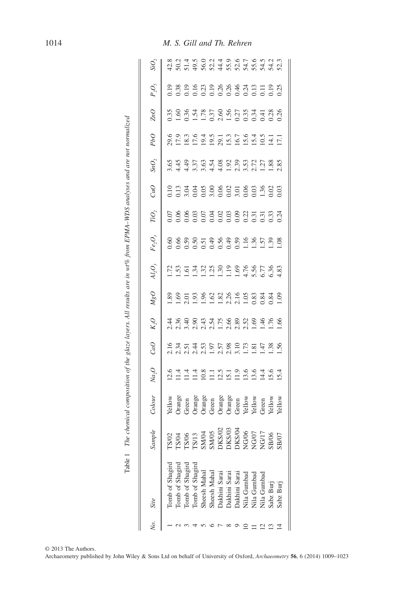| Site                 | Sample                                                                           | Colour                                                                                                                         | Na <sub>2</sub> O                                                          | CaO | $K_2O$ | MgO                                                                                                                                                                                                                            | ${\cal A}{\cal I}_2{\cal O}_3$ | Fe <sub>2</sub> O <sub>3</sub> | ${\cal T}i{\cal O}_2$ | CuO | $\textit{SnO}_2$                                                                                                          | PbO                                                                                            | ZпO | $P_2O_5$ | SiO <sub>2</sub>                                                          |
|----------------------|----------------------------------------------------------------------------------|--------------------------------------------------------------------------------------------------------------------------------|----------------------------------------------------------------------------|-----|--------|--------------------------------------------------------------------------------------------------------------------------------------------------------------------------------------------------------------------------------|--------------------------------|--------------------------------|-----------------------|-----|---------------------------------------------------------------------------------------------------------------------------|------------------------------------------------------------------------------------------------|-----|----------|---------------------------------------------------------------------------|
| Tomb of Shagird      |                                                                                  |                                                                                                                                |                                                                            |     |        |                                                                                                                                                                                                                                |                                |                                |                       |     |                                                                                                                           |                                                                                                |     |          |                                                                           |
| Tomb of Shagird      |                                                                                  |                                                                                                                                |                                                                            |     |        |                                                                                                                                                                                                                                |                                |                                |                       |     |                                                                                                                           |                                                                                                |     |          |                                                                           |
| Tomb of Shagird      |                                                                                  |                                                                                                                                |                                                                            |     |        |                                                                                                                                                                                                                                |                                |                                |                       |     |                                                                                                                           |                                                                                                |     |          |                                                                           |
| Tomb of Shagird      | TS/02<br>TS/04<br>TS/05<br>TS/13<br>SM/04                                        | Yellow<br>Orange<br>Orange Drame Press<br>Orange Drame Press<br>Orange Press<br>Collow Yellow<br>Collow Yellow<br>Orange Press | s 4 4 4 28 11 21 12 31 32 4 52 4<br>21 11 11 21 11 11 11 11 11 11 11 11 11 |     |        | $1.89$ $0.5$ $0.5$ $0.8$ $0.8$ $0.8$ $0.8$ $0.8$ $0.8$ $0.8$ $0.8$ $0.8$ $0.8$ $0.8$ $0.8$ $0.8$ $0.8$ $0.8$ $0.8$ $0.8$ $0.8$ $0.8$ $0.8$ $0.8$ $0.8$ $0.8$ $0.8$ $0.8$ $0.8$ $0.8$ $0.8$ $0.8$ $0.8$ $0.8$ $0.8$ $0.8$ $0.8$ |                                |                                |                       |     | 6 4 4 5 6 7 6 7 6 7 7 8 9 70 70 71 72 88<br>1 4 4 5 6 70 71 72 8 9 70 71 71 72 88<br>1 5 7 7 7 7 8 9 7 8 7 8 9 70 71 71 8 | $9.9.3$ $9.4$ $9.7$ $1.3$ $1.5$ $9.4$ $1.1$<br>$9.1$ $1.2$ $1.3$ $1.5$ $1.5$ $1.5$ $1.5$ $1.5$ |     |          | 8<br>8 0 1 4 5 0 0 4 5 6 6 7 6 7 6 7 6<br>9 0 1 4 5 6 7 4 5 6 7 6 7 6 7 6 |
| iheesh Mahal         |                                                                                  |                                                                                                                                |                                                                            |     |        |                                                                                                                                                                                                                                |                                |                                |                       |     |                                                                                                                           |                                                                                                |     |          |                                                                           |
| iheesh Mahal         |                                                                                  |                                                                                                                                |                                                                            |     |        |                                                                                                                                                                                                                                |                                |                                |                       |     |                                                                                                                           |                                                                                                |     |          |                                                                           |
| Jakhini Sarai        |                                                                                  |                                                                                                                                |                                                                            |     |        |                                                                                                                                                                                                                                |                                |                                |                       |     |                                                                                                                           |                                                                                                |     |          |                                                                           |
| <b>Dakhini Sarai</b> |                                                                                  |                                                                                                                                |                                                                            |     |        |                                                                                                                                                                                                                                |                                |                                |                       |     |                                                                                                                           |                                                                                                |     |          |                                                                           |
| Jakhini Sarai        |                                                                                  |                                                                                                                                |                                                                            |     |        |                                                                                                                                                                                                                                |                                |                                |                       |     |                                                                                                                           |                                                                                                |     |          |                                                                           |
| Vila Gumbad          |                                                                                  |                                                                                                                                |                                                                            |     |        |                                                                                                                                                                                                                                |                                |                                |                       |     |                                                                                                                           |                                                                                                |     |          |                                                                           |
| Vila Gumbad          |                                                                                  |                                                                                                                                |                                                                            |     |        |                                                                                                                                                                                                                                |                                |                                |                       |     |                                                                                                                           |                                                                                                |     |          |                                                                           |
| Vila Gumbad          | SM/05<br>DKS/02<br>DKS/03<br>DKS/04<br>NG/06<br>NG/07<br>NG/07<br>SB/07<br>SB/07 |                                                                                                                                |                                                                            |     |        |                                                                                                                                                                                                                                |                                |                                |                       |     |                                                                                                                           |                                                                                                |     |          |                                                                           |
| sabz Burj            |                                                                                  |                                                                                                                                |                                                                            |     |        |                                                                                                                                                                                                                                |                                |                                |                       |     |                                                                                                                           |                                                                                                |     |          |                                                                           |
| Sabz Burj            |                                                                                  |                                                                                                                                |                                                                            |     |        |                                                                                                                                                                                                                                |                                |                                |                       |     |                                                                                                                           |                                                                                                |     |          |                                                                           |

Table 1 The chemical composition of the glaze layers. All results are in wt% from EPMA-WDS analyses and are not normalized Table 1 The chemical composition of the glaze layers. All results are in wt% from EPMA–WDS analyses and are not normalized

© 2013 The Authors.

Archaeometry published by John Wiley & Sons Ltd on behalf of University of Oxford, *Archaeometry* **56**, 6 (2014) 1009–1023

# 1014 *M. S. Gill and Th. Rehren*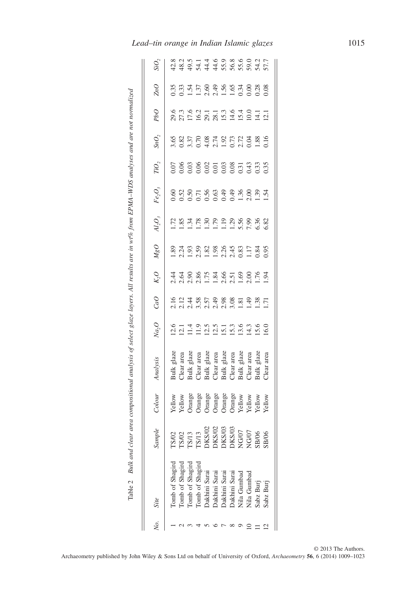| Site            | Sample                                                                                                                                                                                                                                                                                                                                                                                                                                                | Colour                                                                                                     | Analysis                                          | $Na_2O$ | CaO | $K_2O$                                                                                                                                                                                                                                                                                                              | $M_{\mathcal{S}}O$                                                                      | $Al_2O_3$                                                                                                                                                       | $Fe_2O_3$ | $\overline{T}\!iO_2$ | $\mathit{SnO}_2$                       | PbO | ZπO                  | $SiO_{2}$ |
|-----------------|-------------------------------------------------------------------------------------------------------------------------------------------------------------------------------------------------------------------------------------------------------------------------------------------------------------------------------------------------------------------------------------------------------------------------------------------------------|------------------------------------------------------------------------------------------------------------|---------------------------------------------------|---------|-----|---------------------------------------------------------------------------------------------------------------------------------------------------------------------------------------------------------------------------------------------------------------------------------------------------------------------|-----------------------------------------------------------------------------------------|-----------------------------------------------------------------------------------------------------------------------------------------------------------------|-----------|----------------------|----------------------------------------|-----|----------------------|-----------|
| Tomb of Shagird |                                                                                                                                                                                                                                                                                                                                                                                                                                                       |                                                                                                            |                                                   |         |     |                                                                                                                                                                                                                                                                                                                     |                                                                                         |                                                                                                                                                                 |           |                      |                                        |     |                      |           |
| Tomb of Shagird |                                                                                                                                                                                                                                                                                                                                                                                                                                                       |                                                                                                            | glaze<br>area                                     |         |     |                                                                                                                                                                                                                                                                                                                     |                                                                                         |                                                                                                                                                                 |           |                      |                                        |     |                      |           |
| Tomb of Shagird |                                                                                                                                                                                                                                                                                                                                                                                                                                                       |                                                                                                            |                                                   |         |     |                                                                                                                                                                                                                                                                                                                     |                                                                                         |                                                                                                                                                                 |           |                      |                                        |     |                      |           |
| Tomb of Shagird | $\begin{array}{l} \text{TS}/02 \\ \text{TS}/02 \\ \text{TS}/13 \\ \text{TS}/13 \\ \text{DS}/02 \\ \text{DS}/02 \\ \text{DS}/02 \\ \text{DS}/02 \\ \text{DS}/03 \\ \text{DS}/03 \\ \text{DS}/03 \\ \text{DS}/07 \\ \text{NS}/07 \\ \text{NS}/07 \\ \text{NS}/07 \\ \text{NS}/07 \\ \text{NS}/00 \\ \text{NS}/06 \\ \text{SBS}/06 \\ \text{SBS}/06 \\ \text{SBS}/06 \\ \text{SBS}/06 \\ \text{SBS}/06 \\ \text{SBS}/06 \\ \text{SBS}/06 \\ \text{SBS}/$ | Yellow<br>Sellow<br>Orange<br>Orange<br>Orange<br>Orange<br>Orange<br>Sellow<br>Sellow<br>Sellow<br>Sellow | elaze<br>area<br>glaze<br>glaze<br>glaze<br>glaze |         |     | $\frac{1}{4}$ $\frac{1}{4}$ $\frac{1}{8}$ $\frac{1}{8}$ $\frac{1}{8}$ $\frac{1}{8}$ $\frac{1}{8}$ $\frac{1}{8}$ $\frac{1}{8}$ $\frac{1}{8}$ $\frac{1}{8}$ $\frac{1}{8}$ $\frac{1}{8}$ $\frac{1}{8}$ $\frac{1}{8}$ $\frac{1}{8}$ $\frac{1}{8}$ $\frac{1}{8}$ $\frac{1}{8}$ $\frac{1}{8}$ $\frac{1}{8}$ $\frac{1}{8}$ | $23.75.8$<br>$25.75.8$<br>$25.75.8$<br>$25.75.8$<br>$25.75.8$<br>$25.75.8$<br>$25.75.8$ | $\frac{11}{11}$ $\frac{12}{11}$ $\frac{12}{11}$ $\frac{12}{11}$ $\frac{12}{11}$ $\frac{13}{11}$ $\frac{16}{11}$ $\frac{18}{11}$ $\frac{26}{11}$ $\frac{26}{11}$ |           |                      | 68<br>0855051050588<br>085505050505056 |     | 0.337758988888888888 |           |
| Jakhini Sarai   |                                                                                                                                                                                                                                                                                                                                                                                                                                                       |                                                                                                            |                                                   |         |     |                                                                                                                                                                                                                                                                                                                     |                                                                                         |                                                                                                                                                                 |           |                      |                                        |     |                      |           |
| Jakhini Sarai   |                                                                                                                                                                                                                                                                                                                                                                                                                                                       |                                                                                                            |                                                   |         |     |                                                                                                                                                                                                                                                                                                                     |                                                                                         |                                                                                                                                                                 |           |                      |                                        |     |                      |           |
| Jakhini Sarai   |                                                                                                                                                                                                                                                                                                                                                                                                                                                       |                                                                                                            |                                                   |         |     |                                                                                                                                                                                                                                                                                                                     |                                                                                         |                                                                                                                                                                 |           |                      |                                        |     |                      |           |
| Jakhini Sarai   |                                                                                                                                                                                                                                                                                                                                                                                                                                                       |                                                                                                            |                                                   |         |     |                                                                                                                                                                                                                                                                                                                     |                                                                                         |                                                                                                                                                                 |           |                      |                                        |     |                      |           |
| vila Gumbad     |                                                                                                                                                                                                                                                                                                                                                                                                                                                       |                                                                                                            |                                                   |         |     |                                                                                                                                                                                                                                                                                                                     |                                                                                         |                                                                                                                                                                 |           |                      |                                        |     |                      |           |
| Vila Gumbad     |                                                                                                                                                                                                                                                                                                                                                                                                                                                       |                                                                                                            |                                                   |         |     |                                                                                                                                                                                                                                                                                                                     |                                                                                         |                                                                                                                                                                 |           |                      |                                        |     |                      |           |
| Sabz Burj       |                                                                                                                                                                                                                                                                                                                                                                                                                                                       |                                                                                                            |                                                   |         |     |                                                                                                                                                                                                                                                                                                                     |                                                                                         |                                                                                                                                                                 |           |                      |                                        |     |                      |           |
| Sabz Burj       |                                                                                                                                                                                                                                                                                                                                                                                                                                                       |                                                                                                            |                                                   |         |     |                                                                                                                                                                                                                                                                                                                     |                                                                                         |                                                                                                                                                                 |           |                      |                                        |     |                      |           |
|                 |                                                                                                                                                                                                                                                                                                                                                                                                                                                       |                                                                                                            |                                                   |         |     |                                                                                                                                                                                                                                                                                                                     |                                                                                         |                                                                                                                                                                 |           |                      |                                        |     |                      |           |

| í                 |
|-------------------|
|                   |
| ì                 |
| ì                 |
|                   |
| i                 |
|                   |
| l                 |
| l<br>$\vdots$     |
| i                 |
|                   |
| ì<br>֚֬           |
|                   |
| <b>CONTACT</b>    |
| j<br>ż<br>l       |
| $\frac{1}{2}$     |
|                   |
| 1                 |
| ì<br>I<br>ī<br>١  |
|                   |
|                   |
| ì                 |
| Š                 |
|                   |
| ׅ֚֚֚֡֡֡֡֡֡֡֡֡֡֝   |
|                   |
| š<br>ù            |
| $\mu$             |
|                   |
|                   |
| Bш.<br>i          |
| ⊥a∪ıv ∠           |
| $\tau_{\rm able}$ |
|                   |

© 2013 The Authors. Archaeometry published by John Wiley & Sons Ltd on behalf of University of Oxford, *Archaeometry* **56**, 6 (2014) 1009–1023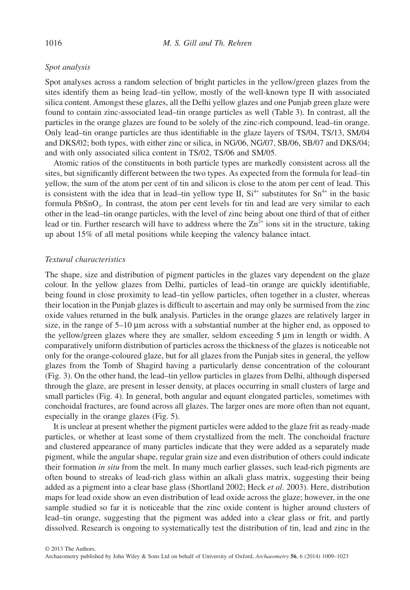# *Spot analysis*

Spot analyses across a random selection of bright particles in the yellow/green glazes from the sites identify them as being lead–tin yellow, mostly of the well-known type II with associated silica content. Amongst these glazes, all the Delhi yellow glazes and one Punjab green glaze were found to contain zinc-associated lead–tin orange particles as well (Table 3). In contrast, all the particles in the orange glazes are found to be solely of the zinc-rich compound, lead–tin orange. Only lead–tin orange particles are thus identifiable in the glaze layers of TS/04, TS/13, SM/04 and DKS/02; both types, with either zinc or silica, in NG/06, NG/07, SB/06, SB/07 and DKS/04; and with only associated silica content in TS/02, TS/06 and SM/05.

Atomic ratios of the constituents in both particle types are markedly consistent across all the sites, but significantly different between the two types. As expected from the formula for lead–tin yellow, the sum of the atom per cent of tin and silicon is close to the atom per cent of lead. This is consistent with the idea that in lead–tin yellow type II,  $Si^{4+}$  substitutes for  $Sn^{4+}$  in the basic formula  $PbSnO<sub>3</sub>$ . In contrast, the atom per cent levels for tin and lead are very similar to each other in the lead–tin orange particles, with the level of zinc being about one third of that of either lead or tin. Further research will have to address where the  $Zn^{2+}$  ions sit in the structure, taking up about 15% of all metal positions while keeping the valency balance intact.

# *Textural characteristics*

The shape, size and distribution of pigment particles in the glazes vary dependent on the glaze colour. In the yellow glazes from Delhi, particles of lead–tin orange are quickly identifiable, being found in close proximity to lead–tin yellow particles, often together in a cluster, whereas their location in the Punjab glazes is difficult to ascertain and may only be surmised from the zinc oxide values returned in the bulk analysis. Particles in the orange glazes are relatively larger in size, in the range of  $5-10 \mu m$  across with a substantial number at the higher end, as opposed to the yellow/green glazes where they are smaller, seldom exceeding 5 μm in length or width. A comparatively uniform distribution of particles across the thickness of the glazes is noticeable not only for the orange-coloured glaze, but for all glazes from the Punjab sites in general, the yellow glazes from the Tomb of Shagird having a particularly dense concentration of the colourant (Fig. 3). On the other hand, the lead–tin yellow particles in glazes from Delhi, although dispersed through the glaze, are present in lesser density, at places occurring in small clusters of large and small particles (Fig. 4). In general, both angular and equant elongated particles, sometimes with conchoidal fractures, are found across all glazes. The larger ones are more often than not equant, especially in the orange glazes (Fig. 5).

It is unclear at present whether the pigment particles were added to the glaze frit as ready-made particles, or whether at least some of them crystallized from the melt. The conchoidal fracture and clustered appearance of many particles indicate that they were added as a separately made pigment, while the angular shape, regular grain size and even distribution of others could indicate their formation *in situ* from the melt. In many much earlier glasses, such lead-rich pigments are often bound to streaks of lead-rich glass within an alkali glass matrix, suggesting their being added as a pigment into a clear base glass (Shortland 2002; Heck *et al*. 2003). Here, distribution maps for lead oxide show an even distribution of lead oxide across the glaze; however, in the one sample studied so far it is noticeable that the zinc oxide content is higher around clusters of lead–tin orange, suggesting that the pigment was added into a clear glass or frit, and partly dissolved. Research is ongoing to systematically test the distribution of tin, lead and zinc in the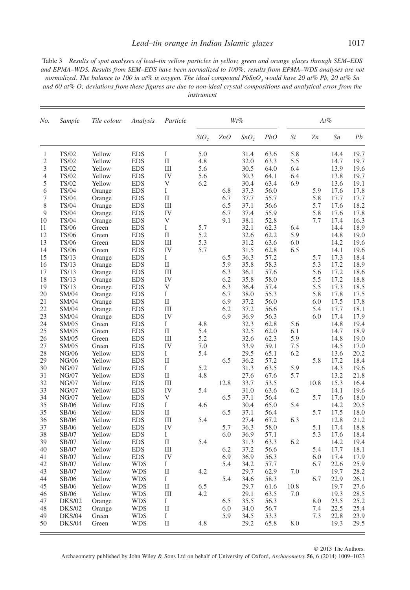Table 3 *Results of spot analyses of lead–tin yellow particles in yellow, green and orange glazes through SEM–EDS and EPMA–WDS. Results from SEM–EDS have been normalized to 100%; results from EPMA–WDS analyses are not normalized. The balance to 100 in at% is oxygen. The ideal compound PbSnO<sub>3</sub> would have 20 at% Pb, 20 at% Sn and 60 at% O; deviations from these figures are due to non-ideal crystal compositions and analytical error from the instrument*

| No.            | Sample         | Tile colour      | Analysis                 | Particle          |                  |            | $Wt\%$           |              |      |                | At%          |              |
|----------------|----------------|------------------|--------------------------|-------------------|------------------|------------|------------------|--------------|------|----------------|--------------|--------------|
|                |                |                  |                          |                   | SiO <sub>2</sub> | ZnO        | SnO <sub>2</sub> | PbO          | Si   | Z <sub>n</sub> | Sn           | Pb           |
| 1              | <b>TS/02</b>   | Yellow           | <b>EDS</b>               | Ι                 | 5.0              |            | 31.4             | 63.6         | 5.8  |                | 14.4         | 19.7         |
| $\mathfrak{2}$ | <b>TS/02</b>   | Yellow           | <b>EDS</b>               | $_{\rm II}$       | 4.8              |            | 32.0             | 63.3         | 5.5  |                | 14.7         | 19.7         |
| 3              | <b>TS/02</b>   | Yellow           | <b>EDS</b>               | Ш                 | 5.6              |            | 30.5             | 64.0         | 6.4  |                | 13.9         | 19.6         |
| 4              | <b>TS/02</b>   | Yellow           | <b>EDS</b>               | IV                | 5.6              |            | 30.3             | 64.1         | 6.4  |                | 13.8         | 19.7         |
| 5              | <b>TS/02</b>   | Yellow           | <b>EDS</b>               | V                 | 6.2              |            | 30.4             | 63.4         | 6.9  |                | 13.6         | 19.1         |
| 6              | <b>TS/04</b>   | Orange           | <b>EDS</b>               | L                 |                  | 6.8        | 37.3             | 56.0         |      | 5.9            | 17.6         | 17.8         |
| 7              | <b>TS/04</b>   | Orange           | <b>EDS</b>               | $\mathbf{I}$      |                  | 6.7        | 37.7             | 55.7         |      | 5.8            | 17.7         | 17.7         |
| 8              | <b>TS/04</b>   | Orange           | <b>EDS</b>               | Ш                 |                  | 6.5        | 37.1             | 56.6         |      | 5.7            | 17.6         | 18.2         |
| 9              | <b>TS/04</b>   | Orange           | <b>EDS</b>               | IV                |                  | 6.7        | 37.4             | 55.9         |      | 5.8            | 17.6         | 17.8         |
| 10             | <b>TS/04</b>   | Orange           | <b>EDS</b>               | V                 |                  | 9.1        | 38.1             | 52.8         |      | 7.7            | 17.4         | 16.3         |
| 11             | <b>TS/06</b>   | Green            | <b>EDS</b>               | Ι                 | 5.7              |            | 32.1             | 62.3         | 6.4  |                | 14.4         | 18.9         |
| 12             | <b>TS/06</b>   | Green            | <b>EDS</b>               | $_{\rm II}$       | 5.2              |            | 32.6             | 62.2         | 5.9  |                | 14.8         | 19.0         |
| 13             | <b>TS/06</b>   | Green            | <b>EDS</b>               | Ш                 | 5.3              |            | 31.2             | 63.6         | 6.0  |                | 14.2         | 19.6         |
| 14             | <b>TS/06</b>   | Green            | <b>EDS</b>               | IV                | 5.7              |            | 31.5             | 62.8         | 6.5  |                | 14.1         | 19.6         |
| 15             | <b>TS/13</b>   | Orange           | <b>EDS</b>               | Ι                 |                  | 6.5        | 36.3             | 57.2         |      | 5.7            | 17.3         | 18.4         |
| 16             | TS/13          | Orange           | <b>EDS</b>               | $\mathbf{I}$<br>Ш |                  | 5.9        | 35.8<br>36.1     | 58.3         |      | 5.3<br>5.6     | 17.2<br>17.2 | 18.9         |
| 17             | TS/13          | Orange           | <b>EDS</b>               | IV                |                  | 6.3        |                  | 57.6         |      |                | 17.2         | 18.6         |
| 18<br>19       | TS/13<br>TS/13 | Orange           | <b>EDS</b><br><b>EDS</b> | V                 |                  | 6.2<br>6.3 | 35.8<br>36.4     | 58.0<br>57.4 |      | 5.5<br>5.5     | 17.3         | 18.8         |
| 20             | SM/04          | Orange           | <b>EDS</b>               | I                 |                  | 6.7        | 38.0             | 55.3         |      | 5.8            | 17.8         | 18.5<br>17.5 |
| 21             | SM/04          | Orange<br>Orange | <b>EDS</b>               | $_{\rm II}$       |                  | 6.9        | 37.2             | 56.0         |      | 6.0            | 17.5         | 17.8         |
| 22             | SM/04          | Orange           | <b>EDS</b>               | Ш                 |                  | 6.2        | 37.2             | 56.6         |      | 5.4            | 17.7         | 18.1         |
| 23             | SM/04          | Orange           | <b>EDS</b>               | IV                |                  | 6.9        | 36.9             | 56.3         |      | 6.0            | 17.4         | 17.9         |
| 24             | SM/05          | Green            | <b>EDS</b>               | Ι                 | 4.8              |            | 32.3             | 62.8         | 5.6  |                | 14.8         | 19.4         |
| 25             | SM/05          | Green            | <b>EDS</b>               | H                 | 5.4              |            | 32.5             | 62.0         | 6.1  |                | 14.7         | 18.9         |
| 26             | SM/05          | Green            | <b>EDS</b>               | Ш                 | 5.2              |            | 32.6             | 62.3         | 5.9  |                | 14.8         | 19.0         |
| 27             | SM/05          | Green            | <b>EDS</b>               | IV                | 7.0              |            | 33.9             | 59.1         | 7.5  |                | 14.5         | 17.0         |
| 28             | NG/06          | Yellow           | <b>EDS</b>               | Ι                 | 5.4              |            | 29.5             | 65.1         | 6.2  |                | 13.6         | 20.2         |
| 29             | NG/06          | Yellow           | <b>EDS</b>               | $\mathbf{I}$      |                  | 6.5        | 36.2             | 57.2         |      | 5.8            | 17.2         | 18.4         |
| 30             | NG/07          | Yellow           | <b>EDS</b>               | I                 | 5.2              |            | 31.3             | 63.5         | 5.9  |                | 14.3         | 19.6         |
| 31             | NG/07          | Yellow           | <b>EDS</b>               | $\mathbf{I}$      | 4.8              |            | 27.6             | 67.6         | 5.7  |                | 13.2         | 21.8         |
| 32             | NG/07          | Yellow           | <b>EDS</b>               | Ш                 |                  | 12.8       | 33.7             | 53.5         |      | 10.8           | 15.3         | 16.4         |
| 33             | NG/07          | Yellow           | <b>EDS</b>               | IV                | 5.4              |            | 31.0             | 63.6         | 6.2  |                | 14.1         | 19.6         |
| 34             | NG/07          | Yellow           | <b>EDS</b>               | V                 |                  | 6.5        | 37.1             | 56.4         |      | 5.7            | 17.6         | 18.0         |
| 35             | SB/06          | Yellow           | <b>EDS</b>               | I                 | 4.6              |            | 30.4             | 65.0         | 5.4  |                | 14.2         | 20.5         |
| 35             | SB/06          | Yellow           | <b>EDS</b>               | $\mathbf{I}$      |                  | 6.5        | 37.1             | 56.4         |      | 5.7            | 17.5         | 18.0         |
| 36             | SB/06          | Yellow           | <b>EDS</b>               | Ш                 | 5.4              |            | 27.4             | 67.2         | 6.3  |                | 12.8         | 21.2         |
| 37             | SB/06          | Yellow           | <b>EDS</b>               | IV                |                  | 5.7        | 36.3             | 58.0         |      | 5.1            | 17.4         | 18.8         |
| 38             | SB/07          | Yellow           | <b>EDS</b>               | I                 |                  | 6.0        | 36.9             | 57.1         |      | 5.3            | 17.6         | 18.4         |
| 39             | <b>SB/07</b>   | Yellow           | <b>EDS</b>               | $\mathbf{I}$      | 5.4              |            | 31.3             | 63.3         | 6.2  |                | 14.2         | 19.4         |
| 40             | SB/07          | Yellow           | <b>EDS</b>               | Ш                 |                  | 6.2        | 37.2             | 56.6         |      | 5.4            | 17.7         | 18.1         |
| 41             | SB/07          | Yellow           | <b>EDS</b>               | IV                |                  | 6.9        | 36.9             | 56.3         |      | 6.0            | 17.4         | 17.9         |
| 42             | SB/07          | Yellow           | <b>WDS</b>               | Ι                 |                  | 5.4        | 34.2             | 57.7         |      | 6.7            | 22.6         | 25.9         |
| 43             | SB/07          | Yellow           | WDS                      | $\mathbf{I}$      | 4.2              |            | 29.7             | 62.9         | 7.0  |                | 19.7         | 28.2         |
| 44             | SB/06          | Yellow           | <b>WDS</b>               | Ι                 |                  | 5.4        | 34.6             | 58.3         |      | 6.7            | 22.9         | 26.1         |
| 45             | SB/06          | Yellow           | WDS                      | П                 | 6.5              |            | 29.7             | 61.6         | 10.8 |                | 19.7         | 27.6         |
| 46             | SB/06          | Yellow           | <b>WDS</b>               | IΠ                | 4.2              |            | 29.1             | 63.5         | 7.0  |                | 19.3         | 28.5         |
| 47             | <b>DKS/02</b>  | Orange           | WDS                      | Ι                 |                  | 6.5        | 35.5             | 56.3         |      | 8.0            | 23.5         | 25.2         |
| 48             | <b>DKS/02</b>  | Orange           | WDS                      | $\mathbf{I}$      |                  | 6.0        | 34.0             | 56.7         |      | 7.4            | 22.5         | 25.4         |
| 49             | <b>DKS/04</b>  | Green            | <b>WDS</b>               | I                 |                  | 5.9        | 34.5             | 53.3         |      | 7.3            | 22.8         | 23.9         |
| 50             | DKS/04         | Green            | WDS                      | $\mathbf{I}$      | 4.8              |            | 29.2             | 65.8         | 8.0  |                | 19.3         | 29.5         |

© 2013 The Authors. Archaeometry published by John Wiley & Sons Ltd on behalf of University of Oxford, *Archaeometry* **56**, 6 (2014) 1009–1023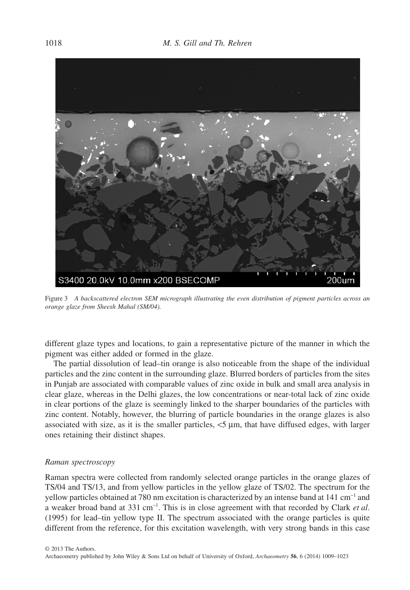

Figure 3 *A backscattered electron SEM micrograph illustrating the even distribution of pigment particles across an orange glaze from Sheesh Mahal (SM/04).*

different glaze types and locations, to gain a representative picture of the manner in which the pigment was either added or formed in the glaze.

The partial dissolution of lead–tin orange is also noticeable from the shape of the individual particles and the zinc content in the surrounding glaze. Blurred borders of particles from the sites in Punjab are associated with comparable values of zinc oxide in bulk and small area analysis in clear glaze, whereas in the Delhi glazes, the low concentrations or near-total lack of zinc oxide in clear portions of the glaze is seemingly linked to the sharper boundaries of the particles with zinc content. Notably, however, the blurring of particle boundaries in the orange glazes is also associated with size, as it is the smaller particles,  $\leq$   $\mu$ m, that have diffused edges, with larger ones retaining their distinct shapes.

## *Raman spectroscopy*

Raman spectra were collected from randomly selected orange particles in the orange glazes of TS/04 and TS/13, and from yellow particles in the yellow glaze of TS/02. The spectrum for the yellow particles obtained at 780 nm excitation is characterized by an intense band at 141 cm<sup>−</sup><sup>1</sup> and a weaker broad band at 331 cm<sup>−</sup><sup>1</sup> . This is in close agreement with that recorded by Clark *et al*. (1995) for lead–tin yellow type II. The spectrum associated with the orange particles is quite different from the reference, for this excitation wavelength, with very strong bands in this case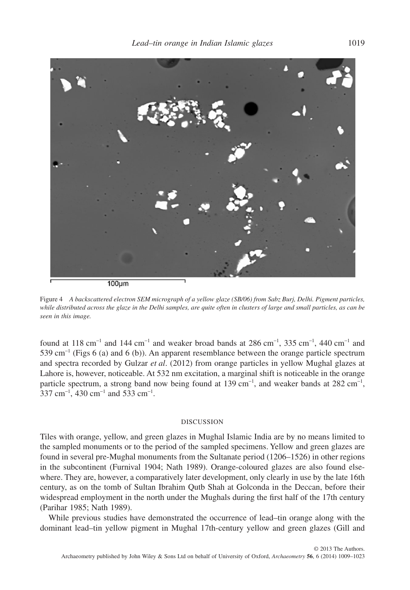

 $100 \mu m$ 

Figure 4 *A backscattered electron SEM micrograph of a yellow glaze (SB/06) from Sabz Burj, Delhi. Pigment particles, while distributed across the glaze in the Delhi samples, are quite often in clusters of large and small particles, as can be seen in this image.*

found at 118 cm<sup>-1</sup> and 144 cm<sup>-1</sup> and weaker broad bands at 286 cm<sup>-1</sup>, 335 cm<sup>-1</sup>, 440 cm<sup>-1</sup> and 539 cm<sup>-1</sup> (Figs 6 (a) and 6 (b)). An apparent resemblance between the orange particle spectrum and spectra recorded by Gulzar *et al*. (2012) from orange particles in yellow Mughal glazes at Lahore is, however, noticeable. At 532 nm excitation, a marginal shift is noticeable in the orange particle spectrum, a strong band now being found at 139 cm<sup>-1</sup>, and weaker bands at 282 cm<sup>-1</sup>, 337 cm<sup>-1</sup>, 430 cm<sup>-1</sup> and 533 cm<sup>-1</sup>.

#### DISCUSSION

Tiles with orange, yellow, and green glazes in Mughal Islamic India are by no means limited to the sampled monuments or to the period of the sampled specimens. Yellow and green glazes are found in several pre-Mughal monuments from the Sultanate period (1206–1526) in other regions in the subcontinent (Furnival 1904; Nath 1989). Orange-coloured glazes are also found elsewhere. They are, however, a comparatively later development, only clearly in use by the late 16th century, as on the tomb of Sultan Ibrahim Qutb Shah at Golconda in the Deccan, before their widespread employment in the north under the Mughals during the first half of the 17th century (Parihar 1985; Nath 1989).

While previous studies have demonstrated the occurrence of lead–tin orange along with the dominant lead–tin yellow pigment in Mughal 17th-century yellow and green glazes (Gill and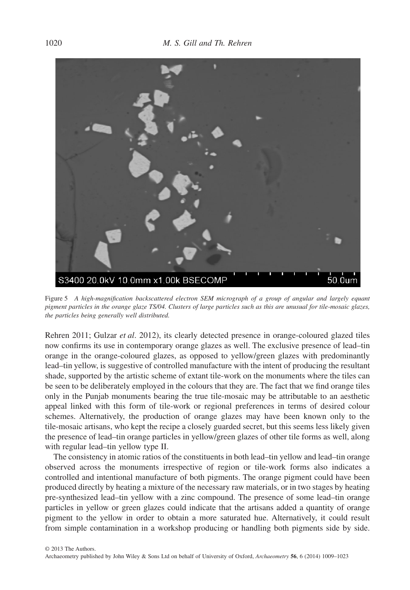

Figure 5 *A high-magnification backscattered electron SEM micrograph of a group of angular and largely equant pigment particles in the orange glaze TS/04. Clusters of large particles such as this are unusual for tile-mosaic glazes, the particles being generally well distributed.*

Rehren 2011; Gulzar *et al*. 2012), its clearly detected presence in orange-coloured glazed tiles now confirms its use in contemporary orange glazes as well. The exclusive presence of lead–tin orange in the orange-coloured glazes, as opposed to yellow/green glazes with predominantly lead–tin yellow, is suggestive of controlled manufacture with the intent of producing the resultant shade, supported by the artistic scheme of extant tile-work on the monuments where the tiles can be seen to be deliberately employed in the colours that they are. The fact that we find orange tiles only in the Punjab monuments bearing the true tile-mosaic may be attributable to an aesthetic appeal linked with this form of tile-work or regional preferences in terms of desired colour schemes. Alternatively, the production of orange glazes may have been known only to the tile-mosaic artisans, who kept the recipe a closely guarded secret, but this seems less likely given the presence of lead–tin orange particles in yellow/green glazes of other tile forms as well, along with regular lead–tin yellow type II.

The consistency in atomic ratios of the constituents in both lead–tin yellow and lead–tin orange observed across the monuments irrespective of region or tile-work forms also indicates a controlled and intentional manufacture of both pigments. The orange pigment could have been produced directly by heating a mixture of the necessary raw materials, or in two stages by heating pre-synthesized lead–tin yellow with a zinc compound. The presence of some lead–tin orange particles in yellow or green glazes could indicate that the artisans added a quantity of orange pigment to the yellow in order to obtain a more saturated hue. Alternatively, it could result from simple contamination in a workshop producing or handling both pigments side by side.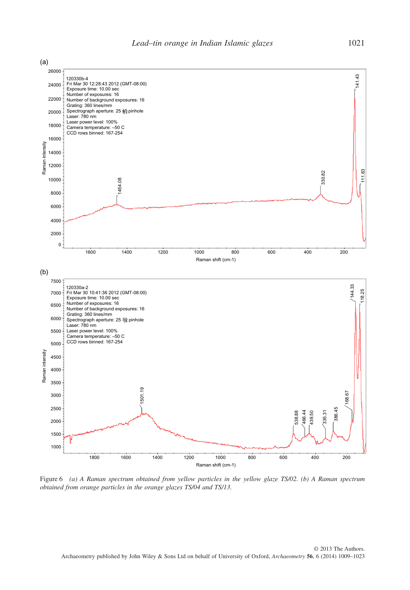(a)



Figure 6 *(a) A Raman spectrum obtained from yellow particles in the yellow glaze TS/02. (b) A Raman spectrum obtained from orange particles in the orange glazes TS/04 and TS/13.*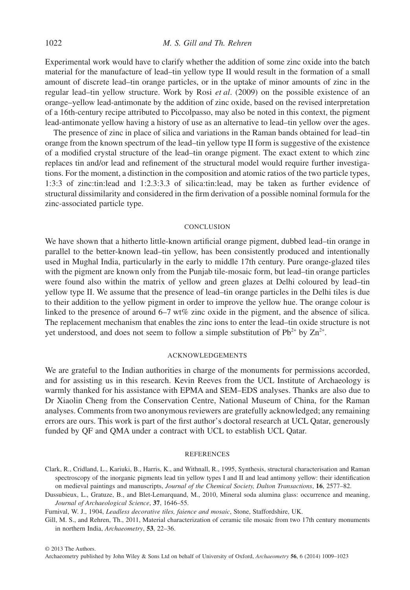Experimental work would have to clarify whether the addition of some zinc oxide into the batch material for the manufacture of lead–tin yellow type II would result in the formation of a small amount of discrete lead–tin orange particles, or in the uptake of minor amounts of zinc in the regular lead–tin yellow structure. Work by Rosi *et al*. (2009) on the possible existence of an orange–yellow lead-antimonate by the addition of zinc oxide, based on the revised interpretation of a 16th-century recipe attributed to Piccolpasso, may also be noted in this context, the pigment lead-antimonate yellow having a history of use as an alternative to lead–tin yellow over the ages.

The presence of zinc in place of silica and variations in the Raman bands obtained for lead–tin orange from the known spectrum of the lead–tin yellow type II form is suggestive of the existence of a modified crystal structure of the lead–tin orange pigment. The exact extent to which zinc replaces tin and/or lead and refinement of the structural model would require further investigations. For the moment, a distinction in the composition and atomic ratios of the two particle types, 1:3:3 of zinc:tin:lead and 1:2.3:3.3 of silica:tin:lead, may be taken as further evidence of structural dissimilarity and considered in the firm derivation of a possible nominal formula for the zinc-associated particle type.

#### **CONCLUSION**

We have shown that a hitherto little-known artificial orange pigment, dubbed lead–tin orange in parallel to the better-known lead–tin yellow, has been consistently produced and intentionally used in Mughal India, particularly in the early to middle 17th century. Pure orange-glazed tiles with the pigment are known only from the Punjab tile-mosaic form, but lead–tin orange particles were found also within the matrix of yellow and green glazes at Delhi coloured by lead–tin yellow type II. We assume that the presence of lead–tin orange particles in the Delhi tiles is due to their addition to the yellow pigment in order to improve the yellow hue. The orange colour is linked to the presence of around  $6-7$  wt% zinc oxide in the pigment, and the absence of silica. The replacement mechanism that enables the zinc ions to enter the lead–tin oxide structure is not yet understood, and does not seem to follow a simple substitution of  $Pb^{2+}$  by  $Zn^{2+}$ .

## ACKNOWLEDGEMENTS

We are grateful to the Indian authorities in charge of the monuments for permissions accorded, and for assisting us in this research. Kevin Reeves from the UCL Institute of Archaeology is warmly thanked for his assistance with EPMA and SEM–EDS analyses. Thanks are also due to Dr Xiaolin Cheng from the Conservation Centre, National Museum of China, for the Raman analyses. Comments from two anonymous reviewers are gratefully acknowledged; any remaining errors are ours. This work is part of the first author's doctoral research at UCL Qatar, generously funded by QF and QMA under a contract with UCL to establish UCL Qatar.

## **REFERENCES**

- Clark, R., Cridland, L., Kariuki, B., Harris, K., and Withnall, R., 1995, Synthesis, structural characterisation and Raman spectroscopy of the inorganic pigments lead tin yellow types I and II and lead antimony yellow: their identification on medieval paintings and manuscripts, *Journal of the Chemical Society, Dalton Transactions*, **16**, 2577–82.
- Dussubieux, L., Gratuze, B., and Blet-Lemarquand, M., 2010, Mineral soda alumina glass: occurrence and meaning, *Journal of Archaeological Science*, **37**, 1646–55.

Furnival, W. J., 1904, *Leadless decorative tiles, faience and mosaic*, Stone, Staffordshire, UK.

Gill, M. S., and Rehren, Th., 2011, Material characterization of ceramic tile mosaic from two 17th century monuments in northern India, *Archaeometry*, **53**, 22–36.

© 2013 The Authors.